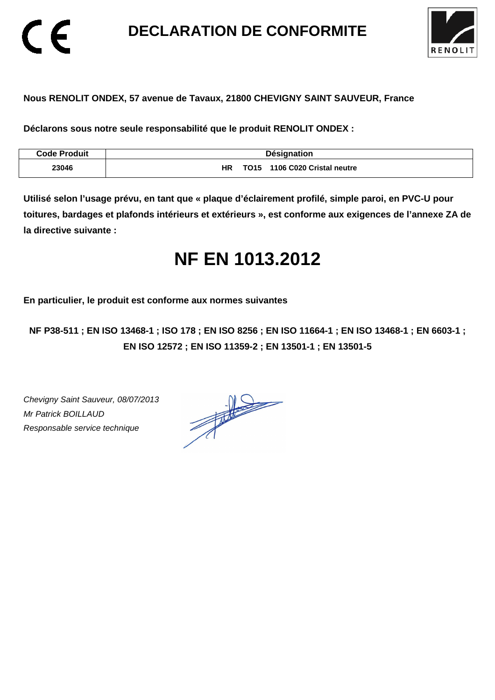**DECLARATION DE CONFORMITE** 



## **Nous RENOLIT ONDEX, 57 avenue de Tavaux, 21800 CHEVIGNY SAINT SAUVEUR, France**

**Déclarons sous notre seule responsabilité que le produit RENOLIT ONDEX :** 

| <b>Code Produit</b> | <b>Désignation</b>                     |
|---------------------|----------------------------------------|
| 23046               | HR<br>1106 C020 Cristal neutre<br>TO15 |

**Utilisé selon l'usage prévu, en tant que « plaque d'éclairement profilé, simple paroi, en PVC-U pour toitures, bardages et plafonds intérieurs et extérieurs », est conforme aux exigences de l'annexe ZA de la directive suivante :** 

# **NF EN 1013.2012**

**En particulier, le produit est conforme aux normes suivantes** 

**NF P38-511 ; EN ISO 13468-1 ; ISO 178 ; EN ISO 8256 ; EN ISO 11664-1 ; EN ISO 13468-1 ; EN 6603-1 ; EN ISO 12572 ; EN ISO 11359-2 ; EN 13501-1 ; EN 13501-5**

Chevigny Saint Sauveur, 08/07/2013 Mr Patrick BOILLAUD Responsable service technique

 $\epsilon$ 

 $\frac{1}{\sqrt{2}}$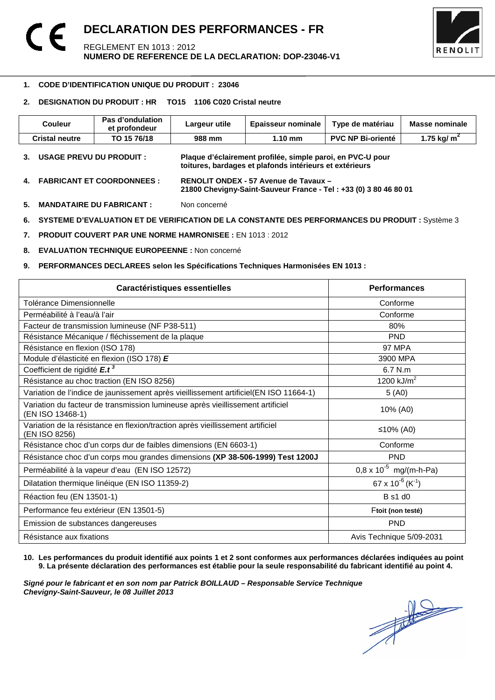

### -**1. CODE D'IDENTIFICATION UNIQUE DU PRODUIT : 23046**

## **2. DESIGNATION DU PRODUIT : HR TO15 1106 C020 Cristal neutre**

| <b>Couleur</b>                  | Pas d'ondulation<br>et profondeur | Largeur utile | <b>Epaisseur nominale</b>                                                                                             | Type de matériau         | <b>Masse nominale</b> |
|---------------------------------|-----------------------------------|---------------|-----------------------------------------------------------------------------------------------------------------------|--------------------------|-----------------------|
| <b>Cristal neutre</b>           | TO 15 76/18                       | 988 mm        | $1.10 \text{ mm}$                                                                                                     | <b>PVC NP Bi-orienté</b> | 1.75 kg/ $m^2$        |
| <b>USAGE PREVU DU PRODUIT :</b> |                                   |               | Plaque d'éclairement profilée, simple paroi, en PVC-U pour<br>toitures, bardages et plafonds intérieurs et extérieurs |                          |                       |

- **4. FABRICANT ET COORDONNEES : RENOLIT ONDEX 57 Avenue de Tavaux 21800 Chevigny-Saint-Sauveur France - Tel : +33 (0) 3 80 46 80 01**
- **5. MANDATAIRE DU FABRICANT :** Non concerné
- **6. SYSTEME D'EVALUATION ET DE VERIFICATION DE LA CONSTANTE DES PERFORMANCES DU PRODUIT :** Système 3
- **7. PRODUIT COUVERT PAR UNE NORME HAMRONISEE :** EN 1013 : 2012
- **8. EVALUATION TECHNIQUE EUROPEENNE :** Non concerné
- **9. PERFORMANCES DECLAREES selon les Spécifications Techniques Harmonisées EN 1013 :**

| Caractéristiques essentielles                                                                      | <b>Performances</b>                      |
|----------------------------------------------------------------------------------------------------|------------------------------------------|
| Tolérance Dimensionnelle                                                                           | Conforme                                 |
| Perméabilité à l'eau/à l'air                                                                       | Conforme                                 |
| Facteur de transmission lumineuse (NF P38-511)                                                     | 80%                                      |
| Résistance Mécanique / fléchissement de la plaque                                                  | <b>PND</b>                               |
| Résistance en flexion (ISO 178)                                                                    | 97 MPA                                   |
| Module d'élasticité en flexion (ISO 178) E                                                         | 3900 MPA                                 |
| Coefficient de rigidité E.t <sup>3</sup>                                                           | 6.7 N.m                                  |
| Résistance au choc traction (EN ISO 8256)                                                          | 1200 $kJ/m2$                             |
| Variation de l'indice de jaunissement après vieillissement artificiel(EN ISO 11664-1)              | 5(40)                                    |
| Variation du facteur de transmission lumineuse après vieillissement artificiel<br>(EN ISO 13468-1) | 10% (A0)                                 |
| Variation de la résistance en flexion/traction après vieillissement artificiel<br>(EN ISO 8256)    | ≤10% (A0)                                |
| Résistance choc d'un corps dur de faibles dimensions (EN 6603-1)                                   | Conforme                                 |
| Résistance choc d'un corps mou grandes dimensions (XP 38-506-1999) Test 1200J                      | <b>PND</b>                               |
| Perméabilité à la vapeur d'eau (EN ISO 12572)                                                      | $0.8 \times 10^{-5}$ mg/(m-h-Pa)         |
| Dilatation thermique linéique (EN ISO 11359-2)                                                     | 67 x 10 <sup>-6</sup> (K <sup>-1</sup> ) |
| Réaction feu (EN 13501-1)                                                                          | <b>B</b> s1 d0                           |
| Performance feu extérieur (EN 13501-5)                                                             | Ftoit (non testé)                        |
| Emission de substances dangereuses                                                                 | <b>PND</b>                               |
| Résistance aux fixations                                                                           | Avis Technique 5/09-2031                 |

**10. Les performances du produit identifié aux points 1 et 2 sont conformes aux performances déclarées indiquées au point 9. La présente déclaration des performances est établie pour la seule responsabilité du fabricant identifié au point 4.** 

Signé pour le fabricant et en son nom par Patrick BOILLAUD – Responsable Service Technique<br>Chevigny-Saint-Sauveur, le 08 Juillet 2013<br> **Chevigny-Saint-Sauveur, le 08 Juillet 2013 Chevigny-Saint-Sauveur, le 08 Juillet 2013**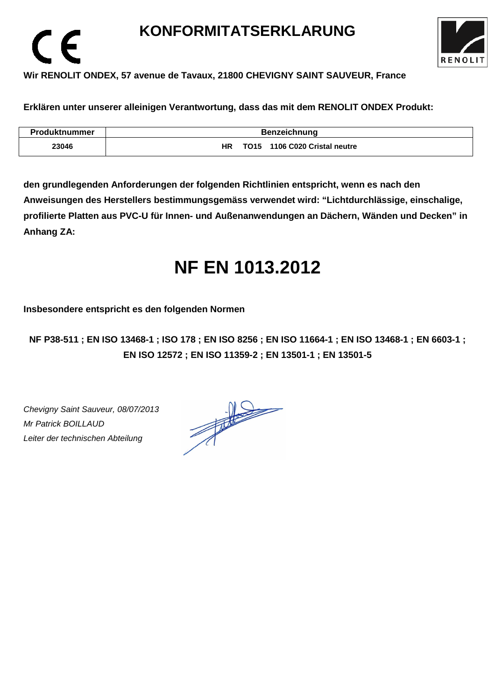## **KONFORMITATSERKLARUNG**



## **Wir RENOLIT ONDEX, 57 avenue de Tavaux, 21800 CHEVIGNY SAINT SAUVEUR, France**

**Erklären unter unserer alleinigen Verantwortung, dass das mit dem RENOLIT ONDEX Produkt:** 

| <b>Produktnummer</b> | <b>Benzeichnung</b>                 |  |  |
|----------------------|-------------------------------------|--|--|
| 23046                | TO15 1106 C020 Cristal neutre<br>ΗR |  |  |

**den grundlegenden Anforderungen der folgenden Richtlinien entspricht, wenn es nach den Anweisungen des Herstellers bestimmungsgemäss verwendet wird: "Lichtdurchlässige, einschalige, profilierte Platten aus PVC-U für Innen- und Außenanwendungen an Dächern, Wänden und Decken" in Anhang ZA:** 

# **NF EN 1013.2012**

**Insbesondere entspricht es den folgenden Normen** 

**NF P38-511 ; EN ISO 13468-1 ; ISO 178 ; EN ISO 8256 ; EN ISO 11664-1 ; EN ISO 13468-1 ; EN 6603-1 ; EN ISO 12572 ; EN ISO 11359-2 ; EN 13501-1 ; EN 13501-5**

Chevigny Saint Sauveur, 08/07/2013 Mr Patrick BOILLAUD Leiter der technischen Abteilung

 $\epsilon$ 

 $\frac{1}{\sqrt{1-\frac{1}{2}}}\left( \frac{1}{\sqrt{1-\frac{1}{2}}}\right)$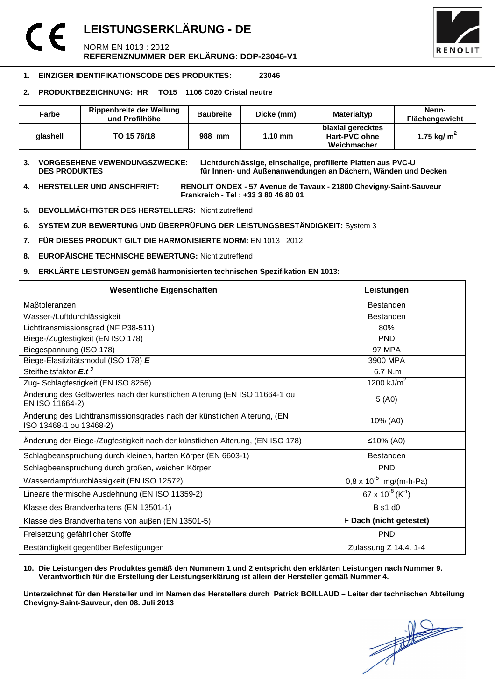## **LEISTUNGSERKLÄRUNG - DE**  NORM EN 1013 : 2012 **REFERENZNUMMER DER EKLÄRUNG: DOP-23046-V1**



## **1. EINZIGER IDENTIFIKATIONSCODE DES PRODUKTES: 23046**

## **2. PRODUKTBEZEICHNUNG: HR TO15 1106 C020 Cristal neutre**

| Farbe    | Rippenbreite der Wellung<br>und Profilhöhe | <b>Baubreite</b> | Dicke (mm)        | Materialtyp                                       | Nenn-<br><b>Flächengewicht</b> |
|----------|--------------------------------------------|------------------|-------------------|---------------------------------------------------|--------------------------------|
| alashell | TO 15 76/18                                | 988 mm           | $1.10 \text{ mm}$ | biaxial gerecktes<br>Hart-PVC ohne<br>Weichmacher | 1.75 kg/ $m2$                  |

**3. VORGESEHENE VEWENDUNGSZWECKE: Lichtdurchlässige, einschalige, profilierte Platten aus PVC-U**  für Innen- und Außenanwendungen an Dächern, Wänden und Decken

**4. HERSTELLER UND ANSCHFRIFT: RENOLIT ONDEX - 57 Avenue de Tavaux - 21800 Chevigny-Saint-Sauveur Frankreich - Tel : +33 3 80 46 80 01** 

- **5. BEVOLLMÄCHTIGTER DES HERSTELLERS:** Nicht zutreffend
- **6. SYSTEM ZUR BEWERTUNG UND ÜBERPRÜFUNG DER LEISTUNGSBESTÄNDIGKEIT:** System 3
- **7. FÜR DIESES PRODUKT GILT DIE HARMONISIERTE NORM:** EN 1013 : 2012
- **8. EUROPÄISCHE TECHNISCHE BEWERTUNG:** Nicht zutreffend
- **9. ERKLÄRTE LEISTUNGEN gemäß harmonisierten technischen Spezifikation EN 1013:**

| <b>Wesentliche Eigenschaften</b>                                                                    | Leistungen                               |  |
|-----------------------------------------------------------------------------------------------------|------------------------------------------|--|
| Maßtoleranzen                                                                                       | <b>Bestanden</b>                         |  |
| Wasser-/Luftdurchlässigkeit                                                                         | <b>Bestanden</b>                         |  |
| Lichttransmissionsgrad (NF P38-511)                                                                 | 80%                                      |  |
| Biege-/Zugfestigkeit (EN ISO 178)                                                                   | <b>PND</b>                               |  |
| Biegespannung (ISO 178)                                                                             | <b>97 MPA</b>                            |  |
| Biege-Elastizitätsmodul (ISO 178) E                                                                 | 3900 MPA                                 |  |
| Steifheitsfaktor E.t <sup>3</sup>                                                                   | 6.7 N.m                                  |  |
| Zug- Schlagfestigkeit (EN ISO 8256)                                                                 | 1200 $kJ/m2$                             |  |
| Änderung des Gelbwertes nach der künstlichen Alterung (EN ISO 11664-1 ou<br>EN ISO 11664-2)         | 5(40)                                    |  |
| Änderung des Lichttransmissionsgrades nach der künstlichen Alterung, (EN<br>ISO 13468-1 ou 13468-2) | 10% (A0)                                 |  |
| Änderung der Biege-/Zugfestigkeit nach der künstlichen Alterung, (EN ISO 178)                       | ≤10% (A0)                                |  |
| Schlagbeanspruchung durch kleinen, harten Körper (EN 6603-1)                                        | <b>Bestanden</b>                         |  |
| Schlagbeanspruchung durch großen, weichen Körper                                                    | <b>PND</b>                               |  |
| Wasserdampfdurchlässigkeit (EN ISO 12572)                                                           | $0.8 \times 10^{-5}$ mg/(m-h-Pa)         |  |
| Lineare thermische Ausdehnung (EN ISO 11359-2)                                                      | 67 x 10 <sup>-6</sup> (K <sup>-1</sup> ) |  |
| Klasse des Brandverhaltens (EN 13501-1)                                                             | <b>B</b> s1 d0                           |  |
| Klasse des Brandverhaltens von außen (EN 13501-5)                                                   | F Dach (nicht getestet)                  |  |
| Freisetzung gefährlicher Stoffe                                                                     | <b>PND</b>                               |  |
| Beständigkeit gegenüber Befestigungen                                                               | Zulassung Z 14.4. 1-4                    |  |

### **10. Die Leistungen des Produktes gemäß den Nummern 1 und 2 entspricht den erklärten Leistungen nach Nummer 9. Verantwortlich für die Erstellung der Leistungserklärung ist allein der Hersteller gemäß Nummer 4.**

**Unterzeichnet für den Hersteller und im Namen des Herstellers durch Patrick BOILLAUD – Leiter der technischen Abteilung Chevigny-Saint-Sauveur, den 08. Juli 2013**

 $\frac{1}{\sqrt{2}}$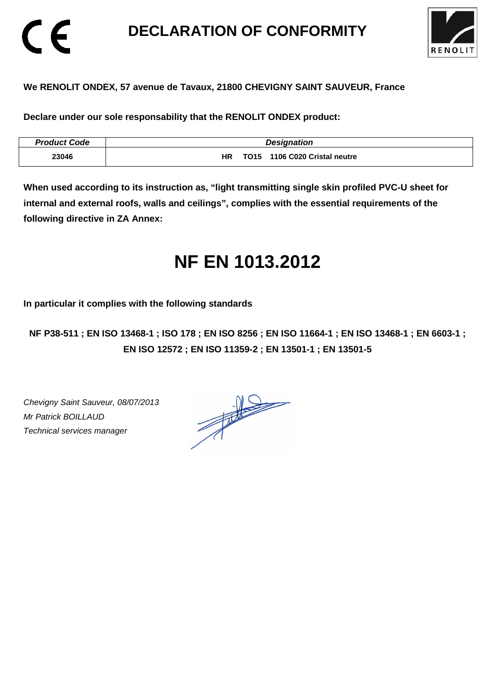## **DECLARATION OF CONFORMITY**



## **We RENOLIT ONDEX, 57 avenue de Tavaux, 21800 CHEVIGNY SAINT SAUVEUR, France**

**Declare under our sole responsability that the RENOLIT ONDEX product:** 

| <b>Product Code</b> | <b>Designation</b>                         |
|---------------------|--------------------------------------------|
| 23046               | TO15 1106 C020 Cristal neutre<br><b>HR</b> |

**When used according to its instruction as, "light transmitting single skin profiled PVC-U sheet for internal and external roofs, walls and ceilings", complies with the essential requirements of the following directive in ZA Annex:** 

# **NF EN 1013.2012**

**In particular it complies with the following standards** 

**NF P38-511 ; EN ISO 13468-1 ; ISO 178 ; EN ISO 8256 ; EN ISO 11664-1 ; EN ISO 13468-1 ; EN 6603-1 ; EN ISO 12572 ; EN ISO 11359-2 ; EN 13501-1 ; EN 13501-5**

Chevigny Saint Sauveur, 08/07/2013 Mr Patrick BOILLAUD Technical services manager

CE

 $\frac{1}{\sqrt{2}}$